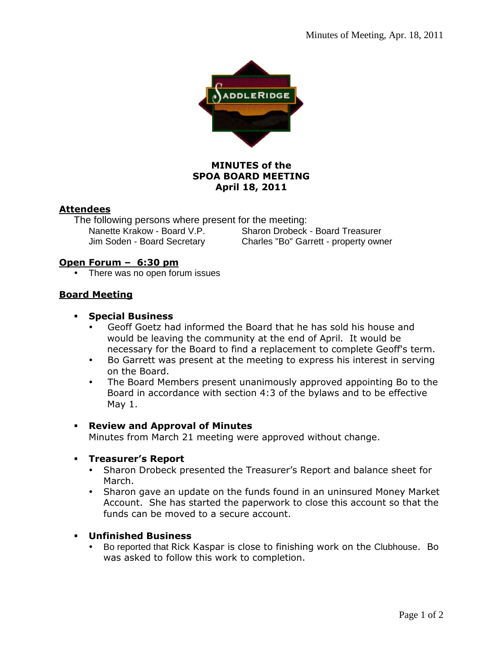

## **MINUTES of the SPOA BOARD MEETING April 18, 2011**

### **Attendees**

The following persons where present for the meeting:<br>Nanette Krakow - Board V.P. Sharon Drobeck

Sharon Drobeck - Board Treasurer Jim Soden - Board Secretary Charles "Bo" Garrett - property owner

# **Open Forum – 6:30 pm**

• There was no open forum issues

# **Board Meeting**

- **Special Business** 
	- Geoff Goetz had informed the Board that he has sold his house and would be leaving the community at the end of April. It would be necessary for the Board to find a replacement to complete Geoff's term.
	- Bo Garrett was present at the meeting to express his interest in serving on the Board.
	- The Board Members present unanimously approved appointing Bo to the Board in accordance with section 4:3 of the bylaws and to be effective May 1.

### **Review and Approval of Minutes**

Minutes from March 21 meeting were approved without change.

### **Treasurer's Report**

- Sharon Drobeck presented the Treasurer's Report and balance sheet for March.
- Sharon gave an update on the funds found in an uninsured Money Market Account. She has started the paperwork to close this account so that the funds can be moved to a secure account.

### **Unfinished Business**

• Bo reported that Rick Kaspar is close to finishing work on the Clubhouse. Bo was asked to follow this work to completion.